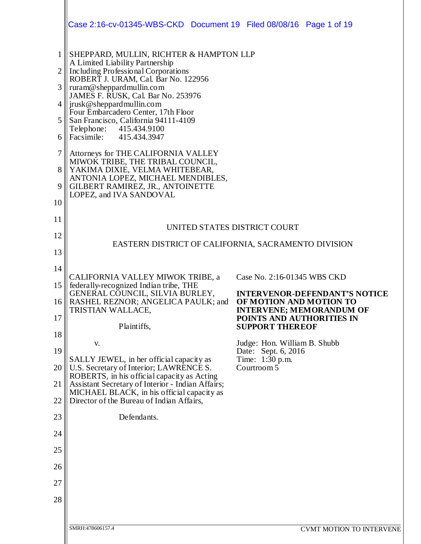|                | Case 2:16-cv-01345-WBS-CKD Document 19 Filed 08/08/16 Page 1 of 19                                                                   |                                                                                                    |
|----------------|--------------------------------------------------------------------------------------------------------------------------------------|----------------------------------------------------------------------------------------------------|
| $\mathbf{1}$   | SHEPPARD, MULLIN, RICHTER & HAMPTON LLP                                                                                              |                                                                                                    |
| $\overline{2}$ | A Limited Liability Partnership<br>Including Professional Corporations                                                               |                                                                                                    |
| 3              | ROBERT J. URAM, Cal. Bar No. 122956<br>ruram@sheppardmullin.com                                                                      |                                                                                                    |
| $\overline{4}$ | JAMES F. RUSK, Cal. Bar No. 253976<br>jrusk@sheppardmullin.com                                                                       |                                                                                                    |
| 5<br>6         | Four Embarcadero Center, 17th Floor<br>San Francisco, California 94111-4109<br>Telephone:<br>415.434.9100<br>Facsimile: 415.434.3947 |                                                                                                    |
| $\overline{7}$ | Attorneys for THE CALIFORNIA VALLEY                                                                                                  |                                                                                                    |
| 8              | MIWOK TRIBE, THE TRIBAL COUNCIL,<br>YAKIMA DIXIE, VELMA WHITEBEAR,                                                                   |                                                                                                    |
| 9              | ANTONIA LOPEZ, MICHAEL MENDIBLES,<br>GILBERT RAMIREZ, JR., ANTOINETTE                                                                |                                                                                                    |
| 10             | LOPEZ, and IVA SANDOVAL                                                                                                              |                                                                                                    |
| 11             |                                                                                                                                      |                                                                                                    |
| 12             |                                                                                                                                      | UNITED STATES DISTRICT COURT                                                                       |
| 13             |                                                                                                                                      | EASTERN DISTRICT OF CALIFORNIA, SACRAMENTO DIVISION                                                |
| 14             |                                                                                                                                      |                                                                                                    |
| 15             | CALIFORNIA VALLEY MIWOK TRIBE, a<br>federally-recognized Indian tribe, THE                                                           | Case No. 2:16-01345 WBS CKD                                                                        |
| 16             | GENERAL COUNCIL, SILVIA BURLEY,<br>RASHEL REZNOR; ANGELICA PAULK; and<br>TRISTIAN WALLACE,                                           | <b>INTERVENOR-DEFENDANT'S NOTICE</b><br>OF MOTION AND MOTION TO<br><b>INTERVENE; MEMORANDUM OF</b> |
| 17             | Plaintiffs,                                                                                                                          | POINTS AND AUTHORITIES IN                                                                          |
| 18             |                                                                                                                                      | <b>SUPPORT THEREOF</b>                                                                             |
| 19             | V.                                                                                                                                   | Judge: Hon. William B. Shubb<br>Date: Sept. 6, 2016                                                |
| 20             | SALLY JEWEL, in her official capacity as<br>U.S. Secretary of Interior; LAWRENCE S.                                                  | Time: 1:30 p.m.<br>Courtroom 5                                                                     |
| 21             | ROBERTS, in his official capacity as Acting<br>Assistant Secretary of Interior - Indian Affairs;                                     |                                                                                                    |
| 22             | MICHAEL BLACK, in his official capacity as<br>Director of the Bureau of Indian Affairs,                                              |                                                                                                    |
| 23             | Defendants.                                                                                                                          |                                                                                                    |
| 24             |                                                                                                                                      |                                                                                                    |
| 25             |                                                                                                                                      |                                                                                                    |
| 26             |                                                                                                                                      |                                                                                                    |
| 27             |                                                                                                                                      |                                                                                                    |
| 28             |                                                                                                                                      |                                                                                                    |
|                |                                                                                                                                      |                                                                                                    |
|                | SMRH:478606157.4                                                                                                                     | CVMT MOTION TO INTERVENE                                                                           |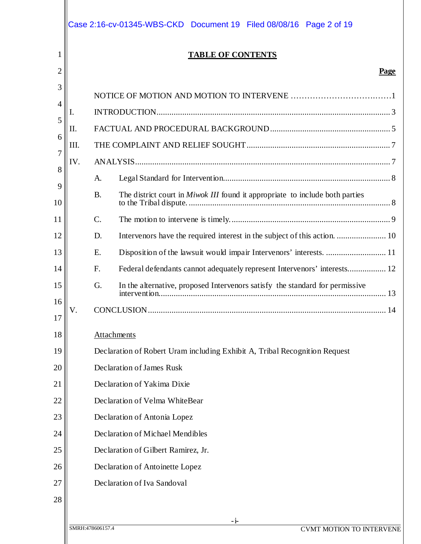| 1              |      |                 | <b>TABLE OF CONTENTS</b>                                                     |             |
|----------------|------|-----------------|------------------------------------------------------------------------------|-------------|
| 2              |      |                 |                                                                              | <b>Page</b> |
| 3              |      |                 |                                                                              |             |
| $\overline{4}$ | Ī.   |                 |                                                                              |             |
| 5              | П.   |                 |                                                                              |             |
| 6              | III. |                 |                                                                              |             |
| 7              | IV.  |                 |                                                                              |             |
| 8              |      | A.              |                                                                              |             |
| 9<br>10        |      | <b>B.</b>       | The district court in Miwok III found it appropriate to include both parties |             |
| 11             |      | $\mathcal{C}$ . |                                                                              |             |
| 12             |      | D.              |                                                                              |             |
| 13             |      | E.              |                                                                              |             |
| 14             |      | F.              | Federal defendants cannot adequately represent Intervenors' interests 12     |             |
| 15             |      | G.              | In the alternative, proposed Intervenors satisfy the standard for permissive |             |
| 16<br>17       | ٧.   |                 | CONCLUSION                                                                   |             |
| 18             |      |                 | <b>Attachments</b>                                                           |             |
| 19             |      |                 | Declaration of Robert Uram including Exhibit A, Tribal Recognition Request   |             |
| 20             |      |                 | Declaration of James Rusk                                                    |             |
| 21             |      |                 | Declaration of Yakima Dixie                                                  |             |
| 22             |      |                 | Declaration of Velma WhiteBear                                               |             |
| 23             |      |                 | Declaration of Antonia Lopez                                                 |             |
| 24             |      |                 | Declaration of Michael Mendibles                                             |             |
| 25             |      |                 | Declaration of Gilbert Ramirez, Jr.                                          |             |
| 26             |      |                 | Declaration of Antoinette Lopez                                              |             |
| 27             |      |                 | Declaration of Iva Sandoval                                                  |             |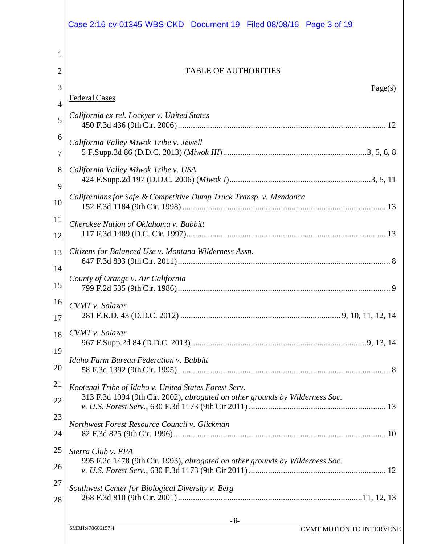|          | Case 2:16-cv-01345-WBS-CKD Document 19 Filed 08/08/16 Page 3 of 19                                                                    |  |
|----------|---------------------------------------------------------------------------------------------------------------------------------------|--|
|          |                                                                                                                                       |  |
| 1        |                                                                                                                                       |  |
| 2        | <b>TABLE OF AUTHORITIES</b>                                                                                                           |  |
| 3        | Page(s)                                                                                                                               |  |
| 4        | Federal Cases                                                                                                                         |  |
| 5        | California ex rel. Lockyer v. United States                                                                                           |  |
| 6        | California Valley Miwok Tribe v. Jewell                                                                                               |  |
| 7        |                                                                                                                                       |  |
| 8        | California Valley Miwok Tribe v. USA                                                                                                  |  |
| 9        | Californians for Safe & Competitive Dump Truck Transp. v. Mendonca                                                                    |  |
| 10       |                                                                                                                                       |  |
| 11       | Cherokee Nation of Oklahoma v. Babbitt                                                                                                |  |
| 12       |                                                                                                                                       |  |
| 13       | Citizens for Balanced Use v. Montana Wilderness Assn.                                                                                 |  |
| 14       | County of Orange v. Air California                                                                                                    |  |
| 15       |                                                                                                                                       |  |
| 16       | VMT v. Salazar                                                                                                                        |  |
| 17       |                                                                                                                                       |  |
| 18       | CVMT v. Salazar                                                                                                                       |  |
| 19       | Idaho Farm Bureau Federation v. Babbitt                                                                                               |  |
| 20       |                                                                                                                                       |  |
| 21       | Kootenai Tribe of Idaho v. United States Forest Serv.<br>313 F.3d 1094 (9th Cir. 2002), abrogated on other grounds by Wilderness Soc. |  |
| 22       |                                                                                                                                       |  |
| 23       | Northwest Forest Resource Council v. Glickman                                                                                         |  |
| 24       |                                                                                                                                       |  |
| 25<br>26 | Sierra Club v. EPA<br>995 F.2d 1478 (9th Cir. 1993), abrogated on other grounds by Wilderness Soc.                                    |  |
| 27       |                                                                                                                                       |  |
| 28       | Southwest Center for Biological Diversity v. Berg                                                                                     |  |
|          |                                                                                                                                       |  |
|          | $-ii-$<br><b>CVMT MOTION TO INTERVENE</b><br>SMRH:478606157.4                                                                         |  |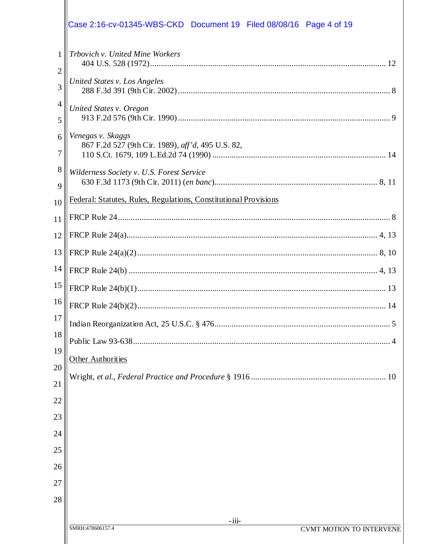|                                | Case 2:16-cv-01345-WBS-CKD Document 19 Filed 08/08/16 Page 4 of 19     |
|--------------------------------|------------------------------------------------------------------------|
| $\mathbf{1}$<br>$\overline{2}$ | Trbovich v. United Mine Workers<br>United States v. Los Angeles        |
| 3                              |                                                                        |
| $\overline{4}$<br>5            | United States v. Oregon                                                |
| 6<br>7                         | Venegas v. Skaggs<br>867 F.2d 527 (9th Cir. 1989), aff'd, 495 U.S. 82, |
| 8<br>9                         | Wilderness Society v. U.S. Forest Service                              |
| 10                             | Federal: Statutes, Rules, Regulations, Constitutional Provisions       |
| 11                             |                                                                        |
| 12                             |                                                                        |
| 13                             |                                                                        |
| 14                             |                                                                        |
| 15                             |                                                                        |
| 16                             |                                                                        |
| 17                             |                                                                        |
| 18                             |                                                                        |
| 19                             | <b>Other Authorities</b>                                               |
| 20<br>21                       |                                                                        |
| 22                             |                                                                        |
| 23                             |                                                                        |
| 24                             |                                                                        |
| 25                             |                                                                        |
| 26                             |                                                                        |
| 27                             |                                                                        |
| 28                             |                                                                        |
|                                | $-iii$                                                                 |
|                                | SMRH:478606157.4<br>CVMT MOTION TO INTERVENE                           |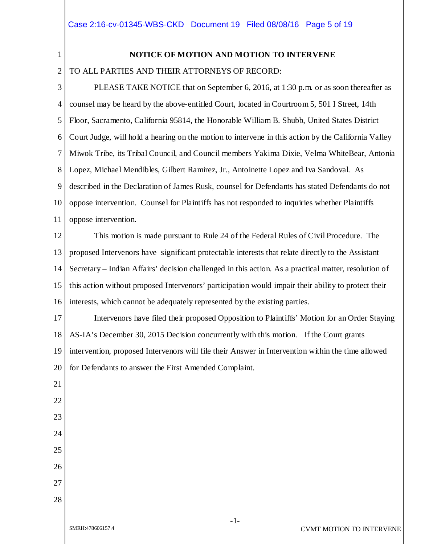21

22

#### **NOTICE OF MOTION AND MOTION TO INTERVENE**

#### 2 TO ALL PARTIES AND THEIR ATTORNEYS OF RECORD:

3 4 5 6 7 8 9 10 11 PLEASE TAKE NOTICE that on September 6, 2016, at 1:30 p.m. or as soon thereafter as counsel may be heard by the above-entitled Court, located in Courtroom 5, 501 I Street, 14th Floor, Sacramento, California 95814, the Honorable William B. Shubb, United States District Court Judge, will hold a hearing on the motion to intervene in this action by the California Valley Miwok Tribe, its Tribal Council, and Council members Yakima Dixie, Velma WhiteBear, Antonia Lopez, Michael Mendibles, Gilbert Ramirez, Jr., Antoinette Lopez and Iva Sandoval. As described in the Declaration of James Rusk, counsel for Defendants has stated Defendants do not oppose intervention. Counsel for Plaintiffs has not responded to inquiries whether Plaintiffs oppose intervention.

12 13 14 15 16 This motion is made pursuant to Rule 24 of the Federal Rules of Civil Procedure. The proposed Intervenors have significant protectable interests that relate directly to the Assistant Secretary – Indian Affairs' decision challenged in this action. As a practical matter, resolution of this action without proposed Intervenors' participation would impair their ability to protect their interests, which cannot be adequately represented by the existing parties.

17 18 19 20 Intervenors have filed their proposed Opposition to Plaintiffs' Motion for an Order Staying AS-IA's December 30, 2015 Decision concurrently with this motion. If the Court grants intervention, proposed Intervenors will file their Answer in Intervention within the time allowed for Defendants to answer the First Amended Complaint.

23 24 25 26 27 28 -1- SMRH:478606157.4 CVMT MOTION TO INTERVENE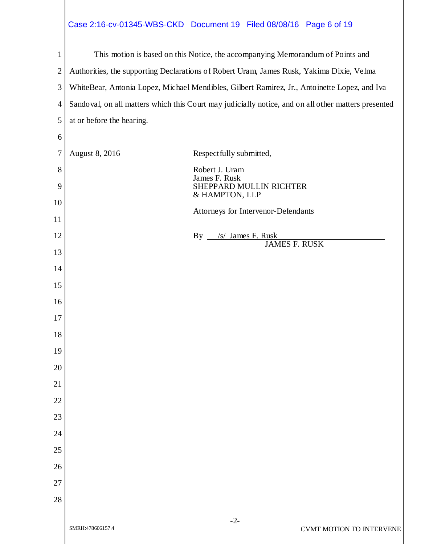# $\bigg\vert$ Case 2:16-cv-01345-WBS-CKD Document 19 Filed 08/08/16 Page 6 of 19

| $\mathbf{1}$   |                           | This motion is based on this Notice, the accompanying Memorandum of Points and                      |
|----------------|---------------------------|-----------------------------------------------------------------------------------------------------|
| $\overline{2}$ |                           | Authorities, the supporting Declarations of Robert Uram, James Rusk, Yakima Dixie, Velma            |
| 3              |                           | WhiteBear, Antonia Lopez, Michael Mendibles, Gilbert Ramirez, Jr., Antoinette Lopez, and Iva        |
| $\overline{4}$ |                           | Sandoval, on all matters which this Court may judicially notice, and on all other matters presented |
| 5              | at or before the hearing. |                                                                                                     |
| 6              |                           |                                                                                                     |
| 7              | <b>August 8, 2016</b>     | Respectfully submitted,                                                                             |
| 8              |                           | Robert J. Uram<br>James F. Rusk                                                                     |
| 9              |                           | SHEPPARD MULLIN RICHTER<br>& HAMPTON, LLP                                                           |
| 10             |                           | Attorneys for Intervenor-Defendants                                                                 |
| 11             |                           |                                                                                                     |
| 12             |                           | By /s/ James F. Rusk<br><b>JAMES F. RUSK</b>                                                        |
| 13             |                           |                                                                                                     |
| 14             |                           |                                                                                                     |
| 15             |                           |                                                                                                     |
| 16             |                           |                                                                                                     |
| 17             |                           |                                                                                                     |
| 18             |                           |                                                                                                     |
| 19             |                           |                                                                                                     |
| 20             |                           |                                                                                                     |
| 21             |                           |                                                                                                     |
| 22             |                           |                                                                                                     |
| 23             |                           |                                                                                                     |
| 24             |                           |                                                                                                     |
| 25             |                           |                                                                                                     |
| 26             |                           |                                                                                                     |
| 27             |                           |                                                                                                     |
| 28             |                           |                                                                                                     |
|                |                           | $-2-$                                                                                               |
|                | SMRH:478606157.4          | <b>CVMT MOTION TO INTERVENE</b>                                                                     |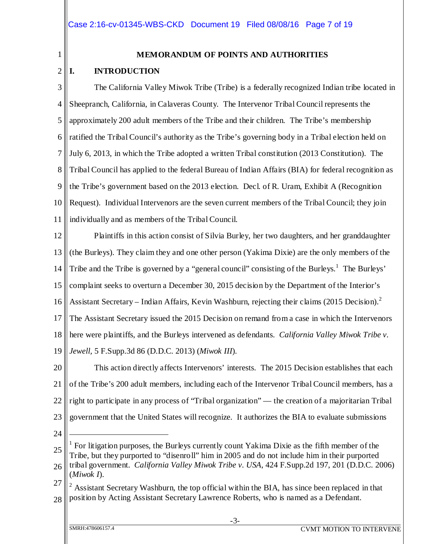#### **MEMORANDUM OF POINTS AND AUTHORITIES**

#### 2 **I. INTRODUCTION**

3 4 5 6 7 8 9 10 11 The California Valley Miwok Tribe (Tribe) is a federally recognized Indian tribe located in Sheepranch, California, in Calaveras County. The Intervenor Tribal Council represents the approximately 200 adult members of the Tribe and their children. The Tribe's membership ratified the Tribal Council's authority as the Tribe's governing body in a Tribal election held on July 6, 2013, in which the Tribe adopted a written Tribal constitution (2013 Constitution). The Tribal Council has applied to the federal Bureau of Indian Affairs (BIA) for federal recognition as the Tribe's government based on the 2013 election. Decl. of R. Uram, Exhibit A (Recognition Request). Individual Intervenors are the seven current members of the Tribal Council; they join individually and as members of the Tribal Council.

12 13 14 15 16 17 18 19 Plaintiffs in this action consist of Silvia Burley, her two daughters, and her granddaughter (the Burleys). They claim they and one other person (Yakima Dixie) are the only members of the Tribe and the Tribe is governed by a "general council" consisting of the Burleys.<sup>1</sup> The Burleys' complaint seeks to overturn a December 30, 2015 decision by the Department of the Interior's Assistant Secretary – Indian Affairs, Kevin Washburn, rejecting their claims (2015 Decision).<sup>2</sup> The Assistant Secretary issued the 2015 Decision on remand from a case in which the Intervenors here were plaintiffs, and the Burleys intervened as defendants. *California Valley Miwok Tribe v*. *Jewell,* 5 F.Supp.3d 86 (D.D.C. 2013) (*Miwok III*).

20 21 22 23 This action directly affects Intervenors' interests. The 2015 Decision establishes that each of the Tribe's 200 adult members, including each of the Intervenor Tribal Council members, has a right to participate in any process of "Tribal organization" — the creation of a majoritarian Tribal government that the United States will recognize. It authorizes the BIA to evaluate submissions

24

<sup>25</sup> <sup>1</sup> For litigation purposes, the Burleys currently count Yakima Dixie as the fifth member of the Tribe, but they purported to "disenroll" him in 2005 and do not include him in their purported

<sup>26</sup> tribal government. *California Valley Miwok Tribe v. USA*, 424 F.Supp.2d 197, 201 (D.D.C. 2006) (*Miwok I*).

<sup>27</sup> 28 <sup>2</sup> Assistant Secretary Washburn, the top official within the BIA, has since been replaced in that position by Acting Assistant Secretary Lawrence Roberts, who is named as a Defendant.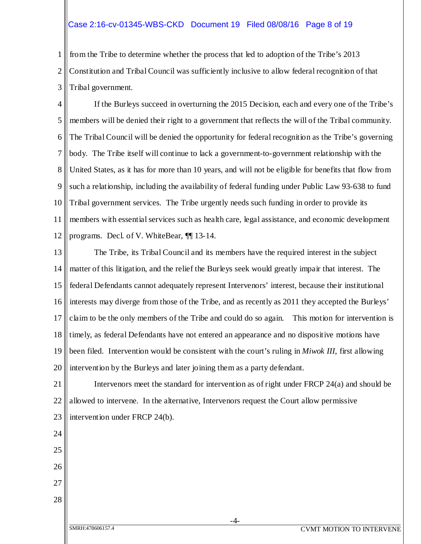#### Case 2:16-cv-01345-WBS-CKD Document 19 Filed 08/08/16 Page 8 of 19

1 2 3 from the Tribe to determine whether the process that led to adoption of the Tribe's 2013 Constitution and Tribal Council was sufficiently inclusive to allow federal recognition of that Tribal government.

4 5 6 7 8 9 10 11 12 If the Burleys succeed in overturning the 2015 Decision, each and every one of the Tribe's members will be denied their right to a government that reflects the will of the Tribal community. The Tribal Council will be denied the opportunity for federal recognition as the Tribe's governing body. The Tribe itself will continue to lack a government-to-government relationship with the United States, as it has for more than 10 years, and will not be eligible for benefits that flow from such a relationship, including the availability of federal funding under Public Law 93-638 to fund Tribal government services. The Tribe urgently needs such funding in order to provide its members with essential services such as health care, legal assistance, and economic development programs. Decl. of V. WhiteBear, ¶¶ 13-14.

13 14 15 16 17 18 19 20 The Tribe, its Tribal Council and its members have the required interest in the subject matter of this litigation, and the relief the Burleys seek would greatly impair that interest. The federal Defendants cannot adequately represent Intervenors' interest, because their institutional interests may diverge from those of the Tribe, and as recently as 2011 they accepted the Burleys' claim to be the only members of the Tribe and could do so again. This motion for intervention is timely, as federal Defendants have not entered an appearance and no dispositive motions have been filed. Intervention would be consistent with the court's ruling in *Miwok III*, first allowing intervention by the Burleys and later joining them as a party defendant.

21 22 23 Intervenors meet the standard for intervention as of right under FRCP 24(a) and should be allowed to intervene. In the alternative, Intervenors request the Court allow permissive intervention under FRCP 24(b).

24

25

26

27

28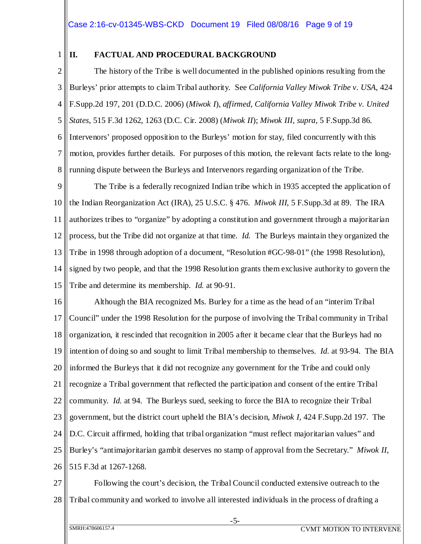### **II. FACTUAL AND PROCEDURAL BACKGROUND**

2 3 4 5 6 7 8 The history of the Tribe is well documented in the published opinions resulting from the Burleys' prior attempts to claim Tribal authority. See *California Valley Miwok Tribe v. USA*, 424 F.Supp.2d 197, 201 (D.D.C. 2006) (*Miwok I*), *affirmed, California Valley Miwok Tribe v. United States*, 515 F.3d 1262, 1263 (D.C. Cir. 2008) (*Miwok II*); *Miwok III*, *supra*, 5 F.Supp.3d 86. Intervenors' proposed opposition to the Burleys' motion for stay, filed concurrently with this motion, provides further details. For purposes of this motion, the relevant facts relate to the longrunning dispute between the Burleys and Intervenors regarding organization of the Tribe.

9 10 11 12 13 14 15 The Tribe is a federally recognized Indian tribe which in 1935 accepted the application of the Indian Reorganization Act (IRA), 25 U.S.C. § 476. *Miwok III*, 5 F.Supp.3d at 89. The IRA authorizes tribes to "organize" by adopting a constitution and government through a majoritarian process, but the Tribe did not organize at that time. *Id.* The Burleys maintain they organized the Tribe in 1998 through adoption of a document, "Resolution #GC-98-01" (the 1998 Resolution), signed by two people, and that the 1998 Resolution grants them exclusive authority to govern the Tribe and determine its membership. *Id.* at 90-91.

16 17 18 19 20 21 22 23 24 25 26 Although the BIA recognized Ms. Burley for a time as the head of an "interim Tribal Council" under the 1998 Resolution for the purpose of involving the Tribal community in Tribal organization, it rescinded that recognition in 2005 after it became clear that the Burleys had no intention of doing so and sought to limit Tribal membership to themselves. *Id.* at 93-94. The BIA informed the Burleys that it did not recognize any government for the Tribe and could only recognize a Tribal government that reflected the participation and consent of the entire Tribal community. *Id.* at 94. The Burleys sued, seeking to force the BIA to recognize their Tribal government, but the district court upheld the BIA's decision, *Miwok I*, 424 F.Supp.2d 197. The D.C. Circuit affirmed, holding that tribal organization "must reflect majoritarian values" and Burley's "antimajoritarian gambit deserves no stamp of approval from the Secretary." *Miwok II*, 515 F.3d at 1267-1268.

27 28 Following the court's decision, the Tribal Council conducted extensive outreach to the Tribal community and worked to involve all interested individuals in the process of drafting a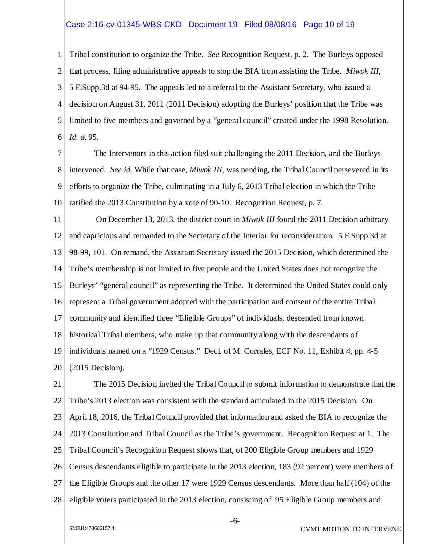#### Case 2:16-cv-01345-WBS-CKD Document 19 Filed 08/08/16 Page 10 of 19

1 2 3 4 5 6 Tribal constitution to organize the Tribe. *See* Recognition Request, p. 2. The Burleys opposed that process, filing administrative appeals to stop the BIA from assisting the Tribe. *Miwok III*, 5 F.Supp.3d at 94-95. The appeals led to a referral to the Assistant Secretary, who issued a decision on August 31, 2011 (2011 Decision) adopting the Burleys' position that the Tribe was limited to five members and governed by a "general council" created under the 1998 Resolution. *Id.* at 95.

7 8 9 10 The Intervenors in this action filed suit challenging the 2011 Decision, and the Burleys intervened. *See id.* While that case, *Miwok III*, was pending, the Tribal Council persevered in its efforts to organize the Tribe, culminating in a July 6, 2013 Tribal election in which the Tribe ratified the 2013 Constitution by a vote of 90-10. Recognition Request, p. 7.

11 12 13 14 15 16 17 18 19 20 On December 13, 2013, the district court in *Miwok III* found the 2011 Decision arbitrary and capricious and remanded to the Secretary of the Interior for reconsideration. 5 F.Supp.3d at 98-99, 101. On remand, the Assistant Secretary issued the 2015 Decision, which determined the Tribe's membership is not limited to five people and the United States does not recognize the Burleys' "general council" as representing the Tribe. It determined the United States could only represent a Tribal government adopted with the participation and consent of the entire Tribal community and identified three "Eligible Groups" of individuals, descended from known historical Tribal members, who make up that community along with the descendants of individuals named on a "1929 Census." Decl. of M. Corrales, ECF No. 11, Exhibit 4, pp. 4-5 (2015 Decision).

21 22 23 24 25 26 27 28 The 2015 Decision invited the Tribal Council to submit information to demonstrate that the Tribe's 2013 election was consistent with the standard articulated in the 2015 Decision. On April 18, 2016, the Tribal Council provided that information and asked the BIA to recognize the 2013 Constitution and Tribal Council as the Tribe's government. Recognition Request at 1. The Tribal Council's Recognition Request shows that, of 200 Eligible Group members and 1929 Census descendants eligible to participate in the 2013 election, 183 (92 percent) were members of the Eligible Groups and the other 17 were 1929 Census descendants. More than half (104) of the eligible voters participated in the 2013 election, consisting of 95 Eligible Group members and

-6-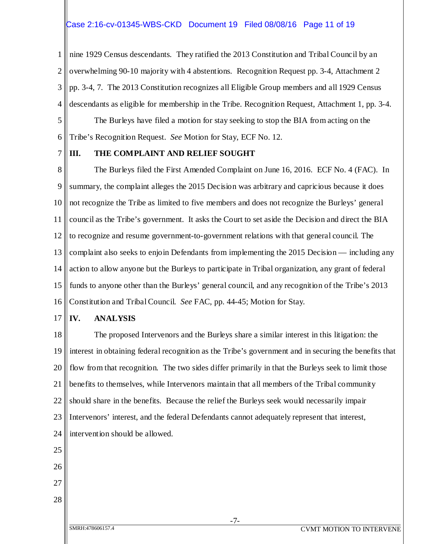1 2 3 4 nine 1929 Census descendants. They ratified the 2013 Constitution and Tribal Council by an overwhelming 90-10 majority with 4 abstentions. Recognition Request pp. 3-4, Attachment 2 pp. 3-4, 7. The 2013 Constitution recognizes all Eligible Group members and all 1929 Census descendants as eligible for membership in the Tribe. Recognition Request, Attachment 1, pp. 3-4.

5

6

The Burleys have filed a motion for stay seeking to stop the BIA from acting on the Tribe's Recognition Request. *See* Motion for Stay, ECF No. 12.

7

#### **III. THE COMPLAINT AND RELIEF SOUGHT**

8 9 10 11 12 13 14 15 16 The Burleys filed the First Amended Complaint on June 16, 2016. ECF No. 4 (FAC). In summary, the complaint alleges the 2015 Decision was arbitrary and capricious because it does not recognize the Tribe as limited to five members and does not recognize the Burleys' general council as the Tribe's government. It asks the Court to set aside the Decision and direct the BIA to recognize and resume government-to-government relations with that general council. The complaint also seeks to enjoin Defendants from implementing the 2015 Decision — including any action to allow anyone but the Burleys to participate in Tribal organization, any grant of federal funds to anyone other than the Burleys' general council, and any recognition of the Tribe's 2013 Constitution and Tribal Council. *See* FAC, pp. 44-45; Motion for Stay.

#### 17 **IV. ANALYSIS**

18 19 20 21 22 23 24 The proposed Intervenors and the Burleys share a similar interest in this litigation: the interest in obtaining federal recognition as the Tribe's government and in securing the benefits that flow from that recognition. The two sides differ primarily in that the Burleys seek to limit those benefits to themselves, while Intervenors maintain that all members of the Tribal community should share in the benefits. Because the relief the Burleys seek would necessarily impair Intervenors' interest, and the federal Defendants cannot adequately represent that interest, intervention should be allowed.

- 25
- 26
- 27
- 28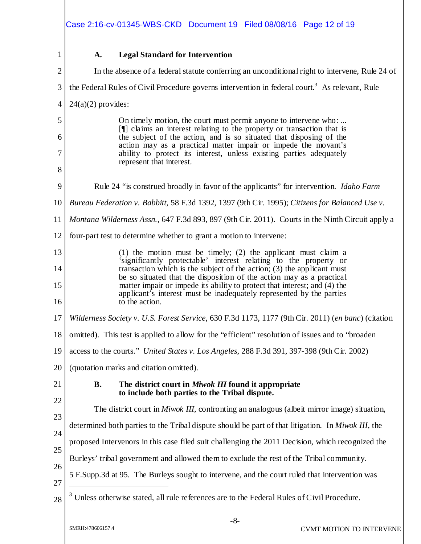## **A. Legal Standard for Intervention**

| $\mathbf{2}$   | In the absence of a federal statute conferring an unconditional right to intervene, Rule 24 of                                                                                                                            |
|----------------|---------------------------------------------------------------------------------------------------------------------------------------------------------------------------------------------------------------------------|
| 3              | the Federal Rules of Civil Procedure governs intervention in federal court. <sup>3</sup> As relevant, Rule                                                                                                                |
| $\overline{4}$ | $24(a)(2)$ provides:                                                                                                                                                                                                      |
| 5<br>6         | On timely motion, the court must permit anyone to intervene who:<br>[1] claims an interest relating to the property or transaction that is<br>the subject of the action, and is so situated that disposing of the         |
| 7              | action may as a practical matter impair or impede the movant's<br>ability to protect its interest, unless existing parties adequately<br>represent that interest.                                                         |
| 8              |                                                                                                                                                                                                                           |
| 9              | Rule 24 "is construed broadly in favor of the applicants" for intervention. <i>Idaho Farm</i>                                                                                                                             |
| 10             | Bureau Federation v. Babbitt, 58 F.3d 1392, 1397 (9th Cir. 1995); Citizens for Balanced Use v.                                                                                                                            |
| 11             | <i>Montana Wilderness Assn.</i> , 647 F.3d 893, 897 (9th Cir. 2011). Courts in the Ninth Circuit apply a                                                                                                                  |
| 12             | four-part test to determine whether to grant a motion to intervene:                                                                                                                                                       |
| 13             | $(1)$ the motion must be timely; $(2)$ the applicant must claim a<br>'significantly protectable' interest relating to the property or                                                                                     |
| 14             | transaction which is the subject of the action; $(3)$ the applicant must                                                                                                                                                  |
| 15             | be so situated that the disposition of the action may as a practical<br>matter impair or impede its ability to protect that interest; and (4) the<br>applicant's interest must be inadequately represented by the parties |
| 16             | to the action.                                                                                                                                                                                                            |
| 17             | Wilderness Society v. U.S. Forest Service, 630 F.3d 1173, 1177 (9th Cir. 2011) (en banc) (citation                                                                                                                        |
| 18             | omitted). This test is applied to allow for the "efficient" resolution of issues and to "broaden"                                                                                                                         |
| 19             | access to the courts." United States v. Los Angeles, 288 F.3d 391, 397-398 (9th Cir. 2002)                                                                                                                                |
|                | 20 (quotation marks and citation omitted).                                                                                                                                                                                |
| 21<br>22       | <b>B.</b><br>The district court in <i>Miwok III</i> found it appropriate<br>to include both parties to the Tribal dispute.                                                                                                |
| 23             | The district court in Miwok III, confronting an analogous (albeit mirror image) situation,                                                                                                                                |
| 24             | determined both parties to the Tribal dispute should be part of that litigation. In Miwok III, the                                                                                                                        |
| 25             | proposed Intervenors in this case filed suit challenging the 2011 Decision, which recognized the                                                                                                                          |
|                | Burleys' tribal government and allowed them to exclude the rest of the Tribal community.                                                                                                                                  |
| 26<br>27       | 5 F.Supp.3d at 95. The Burleys sought to intervene, and the court ruled that intervention was                                                                                                                             |
| 28             | Unless otherwise stated, all rule references are to the Federal Rules of Civil Procedure.                                                                                                                                 |
|                | $-8-$                                                                                                                                                                                                                     |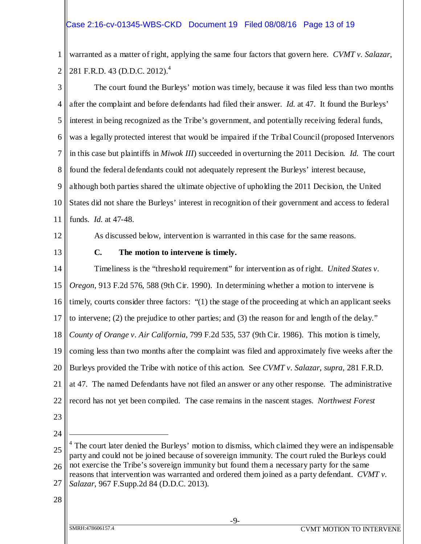1 2  $\parallel$  281 F.R.D. 43 (D.D.C. 2012).<sup>4</sup> warranted as a matter of right, applying the same four factors that govern here. *CVMT v. Salazar*,

| 3               | The court found the Burleys' motion was timely, because it was filed less than two months                                                                                                         |  |  |
|-----------------|---------------------------------------------------------------------------------------------------------------------------------------------------------------------------------------------------|--|--|
| $\overline{4}$  | after the complaint and before defendants had filed their answer. Id. at 47. It found the Burleys'                                                                                                |  |  |
| 5               | interest in being recognized as the Tribe's government, and potentially receiving federal funds,                                                                                                  |  |  |
| 6               | was a legally protected interest that would be impaired if the Tribal Council (proposed Intervenors                                                                                               |  |  |
| 7               | in this case but plaintiffs in <i>Miwok III</i> ) succeeded in overturning the 2011 Decision. <i>Id.</i> The court                                                                                |  |  |
| 8               | found the federal defendants could not adequately represent the Burleys' interest because,                                                                                                        |  |  |
| 9               | although both parties shared the ultimate objective of upholding the 2011 Decision, the United                                                                                                    |  |  |
| 10              | States did not share the Burleys' interest in recognition of their government and access to federal                                                                                               |  |  |
| 11              | funds. <i>Id.</i> at 47-48.                                                                                                                                                                       |  |  |
| 12              | As discussed below, intervention is warranted in this case for the same reasons.                                                                                                                  |  |  |
| 13              | $C_{\bullet}$<br>The motion to intervene is timely.                                                                                                                                               |  |  |
| 14              | Timeliness is the "threshold requirement" for intervention as of right. United States v.                                                                                                          |  |  |
| 15              | Oregon, 913 F.2d 576, 588 (9th Cir. 1990). In determining whether a motion to intervene is                                                                                                        |  |  |
| 16              | timely, courts consider three factors: "(1) the stage of the proceeding at which an applicant seeks                                                                                               |  |  |
| 17              | to intervene; (2) the prejudice to other parties; and (3) the reason for and length of the delay."                                                                                                |  |  |
| 18              | County of Orange v. Air California, 799 F.2d 535, 537 (9th Cir. 1986). This motion is timely,                                                                                                     |  |  |
| 19              | coming less than two months after the complaint was filed and approximately five weeks after the                                                                                                  |  |  |
| 20              | Burleys provided the Tribe with notice of this action. See CVMT v. Salazar, supra, 281 F.R.D.                                                                                                     |  |  |
| 21 <sub>1</sub> | at 47. The named Defendants have not filed an answer or any other response. The administrative                                                                                                    |  |  |
| 22              | record has not yet been compiled. The case remains in the nascent stages. Northwest Forest                                                                                                        |  |  |
| 23              |                                                                                                                                                                                                   |  |  |
| 24              |                                                                                                                                                                                                   |  |  |
| 25              | The court later denied the Burleys' motion to dismiss, which claimed they were an indispensable<br>party and could not be joined because of sovereign immunity. The court ruled the Burleys could |  |  |
| 26              | not exercise the Tribe's sovereign immunity but found them a necessary party for the same                                                                                                         |  |  |
| 27              | reasons that intervention was warranted and ordered them joined as a party defendant. CVMT v.<br>Salazar, 967 F.Supp.2d 84 (D.D.C. 2013).                                                         |  |  |

28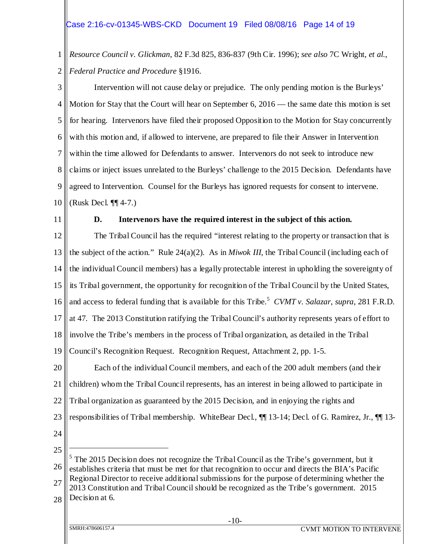1 2 *Resource Council v. Glickman*, 82 F.3d 825, 836-837 (9th Cir. 1996); *see also* 7C Wright, *et al.*, *Federal Practice and Procedure* §1916.

3 4 5 6 7 8 9 10 Intervention will not cause delay or prejudice. The only pending motion is the Burleys' Motion for Stay that the Court will hear on September 6, 2016 — the same date this motion is set for hearing. Intervenors have filed their proposed Opposition to the Motion for Stay concurrently with this motion and, if allowed to intervene, are prepared to file their Answer in Intervention within the time allowed for Defendants to answer. Intervenors do not seek to introduce new claims or inject issues unrelated to the Burleys' challenge to the 2015 Decision. Defendants have agreed to Intervention. Counsel for the Burleys has ignored requests for consent to intervene. (Rusk Decl. ¶¶ 4-7.)

11

#### **D. Intervenors have the required interest in the subject of this action.**

12 13 14 15 16 17 18 19 The Tribal Council has the required "interest relating to the property or transaction that is the subject of the action." Rule 24(a)(2). As in *Miwok III*, the Tribal Council (including each of the individual Council members) has a legally protectable interest in upholding the sovereignty of its Tribal government, the opportunity for recognition of the Tribal Council by the United States, and access to federal funding that is available for this Tribe.<sup>5</sup> *CVMT v. Salazar, supra,* 281 F.R.D. at 47. The 2013 Constitution ratifying the Tribal Council's authority represents years of effort to involve the Tribe's members in the process of Tribal organization, as detailed in the Tribal Council's Recognition Request. Recognition Request, Attachment 2, pp. 1-5.

20 21 22 23 24 Each of the individual Council members, and each of the 200 adult members (and their children) whom the Tribal Council represents, has an interest in being allowed to participate in Tribal organization as guaranteed by the 2015 Decision, and in enjoying the rights and responsibilities of Tribal membership. WhiteBear Decl.,  $\P$  13-14; Decl. of G. Ramirez, Jr.,  $\P$  13-

25

 $\overline{a}$ 

26 27 28  $<sup>5</sup>$  The 2015 Decision does not recognize the Tribal Council as the Tribe's government, but it</sup> establishes criteria that must be met for that recognition to occur and directs the BIA's Pacific Regional Director to receive additional submissions for the purpose of determining whether the 2013 Constitution and Tribal Council should be recognized as the Tribe's government. 2015 Decision at 6.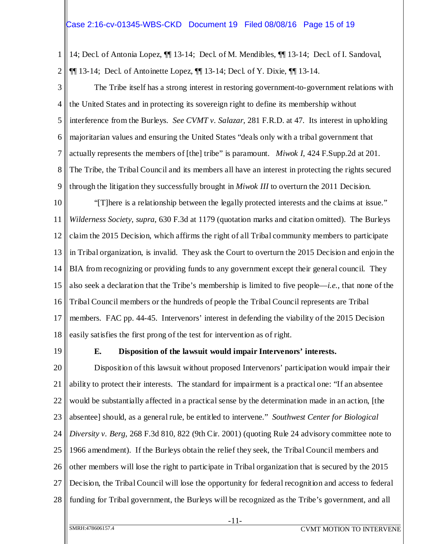1 2 14; Decl. of Antonia Lopez, ¶¶ 13-14; Decl. of M. Mendibles, ¶¶ 13-14; Decl. of I. Sandoval, ¶¶ 13-14; Decl. of Antoinette Lopez, ¶¶ 13-14; Decl. of Y. Dixie, ¶¶ 13-14.

3 4 5 6 7 8 9 The Tribe itself has a strong interest in restoring government-to-government relations with the United States and in protecting its sovereign right to define its membership without interference from the Burleys. *See CVMT v. Salazar*, 281 F.R.D. at 47. Its interest in upholding majoritarian values and ensuring the United States "deals only with a tribal government that actually represents the members of [the] tribe" is paramount. *Miwok I*, 424 F.Supp.2d at 201. The Tribe, the Tribal Council and its members all have an interest in protecting the rights secured through the litigation they successfully brought in *Miwok III* to overturn the 2011 Decision.

10 11 12 13 14 15 16 17 18 "[T]here is a relationship between the legally protected interests and the claims at issue." *Wilderness Society*, *supra*, 630 F.3d at 1179 (quotation marks and citation omitted). The Burleys claim the 2015 Decision, which affirms the right of all Tribal community members to participate in Tribal organization, is invalid. They ask the Court to overturn the 2015 Decision and enjoin the BIA from recognizing or providing funds to any government except their general council. They also seek a declaration that the Tribe's membership is limited to five people—*i.e.*, that none of the Tribal Council members or the hundreds of people the Tribal Council represents are Tribal members. FAC pp. 44-45. Intervenors' interest in defending the viability of the 2015 Decision easily satisfies the first prong of the test for intervention as of right.

19

#### **E. Disposition of the lawsuit would impair Intervenors' interests.**

20 21 22 23 24 25 26 27 28 Disposition of this lawsuit without proposed Intervenors' participation would impair their ability to protect their interests. The standard for impairment is a practical one: "If an absentee would be substantially affected in a practical sense by the determination made in an action, [the absentee] should, as a general rule, be entitled to intervene." *Southwest Center for Biological Diversity v. Berg*, 268 F.3d 810, 822 (9th Cir. 2001) (quoting Rule 24 advisory committee note to 1966 amendment). If the Burleys obtain the relief they seek, the Tribal Council members and other members will lose the right to participate in Tribal organization that is secured by the 2015 Decision, the Tribal Council will lose the opportunity for federal recognition and access to federal funding for Tribal government, the Burleys will be recognized as the Tribe's government, and all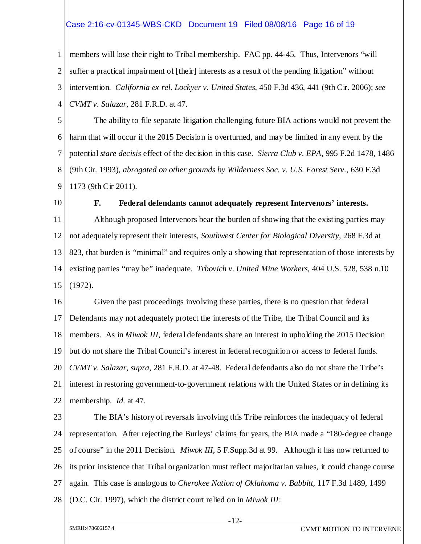#### Case 2:16-cv-01345-WBS-CKD Document 19 Filed 08/08/16 Page 16 of 19

1 2 3 4 members will lose their right to Tribal membership. FAC pp. 44-45. Thus, Intervenors "will suffer a practical impairment of [their] interests as a result of the pending litigation" without intervention. *California ex rel. Lockyer v. United States*, 450 F.3d 436, 441 (9th Cir. 2006); *see CVMT v. Salazar*, 281 F.R.D. at 47.

5 6 7 8 9 The ability to file separate litigation challenging future BIA actions would not prevent the harm that will occur if the 2015 Decision is overturned, and may be limited in any event by the potential *stare decisis* effect of the decision in this case. *Sierra Club v. EPA*, 995 F.2d 1478, 1486 (9th Cir. 1993), *abrogated on other grounds by Wilderness Soc. v. U.S. Forest Serv.*, 630 F.3d 1173 (9th Cir 2011).

10

#### **F. Federal defendants cannot adequately represent Intervenors' interests.**

11 12 13 14 15 Although proposed Intervenors bear the burden of showing that the existing parties may not adequately represent their interests, *Southwest Center for Biological Diversity*, 268 F.3d at 823, that burden is "minimal" and requires only a showing that representation of those interests by existing parties "may be" inadequate. *Trbovich v. United Mine Workers*, 404 U.S. 528, 538 n.10 (1972).

16 17 18 19 20 21 22 Given the past proceedings involving these parties, there is no question that federal Defendants may not adequately protect the interests of the Tribe, the Tribal Council and its members. As in *Miwok III*, federal defendants share an interest in upholding the 2015 Decision but do not share the Tribal Council's interest in federal recognition or access to federal funds. *CVMT v. Salazar*, *supra*, 281 F.R.D. at 47-48. Federal defendants also do not share the Tribe's interest in restoring government-to-government relations with the United States or in defining its membership. *Id.* at 47.

23 24 25 26 27 28 The BIA's history of reversals involving this Tribe reinforces the inadequacy of federal representation. After rejecting the Burleys' claims for years, the BIA made a "180-degree change of course" in the 2011 Decision. *Miwok III*, 5 F.Supp.3d at 99. Although it has now returned to its prior insistence that Tribal organization must reflect majoritarian values, it could change course again. This case is analogous to *Cherokee Nation of Oklahoma v. Babbitt,* 117 F.3d 1489, 1499 (D.C. Cir. 1997), which the district court relied on in *Miwok III*: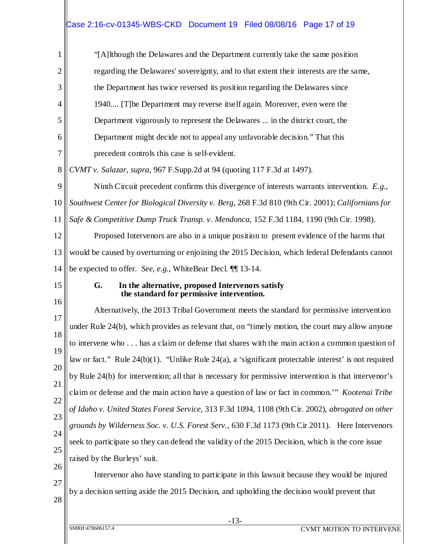## Case 2:16-cv-01345-WBS-CKD Document 19 Filed 08/08/16 Page 17 of 19

| 1              | "[A] though the Delawares and the Department currently take the same position                          |
|----------------|--------------------------------------------------------------------------------------------------------|
| $\overline{2}$ | regarding the Delawares' sovereignty, and to that extent their interests are the same,                 |
| 3              | the Department has twice reversed its position regarding the Delawares since                           |
| $\overline{4}$ | 1940 [T] he Department may reverse itself again. Moreover, even were the                               |
| 5              | Department vigorously to represent the Delawares  in the district court, the                           |
| 6              | Department might decide not to appeal any unfavorable decision." That this                             |
| 7              | precedent controls this case is self-evident.                                                          |
| 8              | CVMT v. Salazar, supra, 967 F.Supp.2d at 94 (quoting 117 F.3d at 1497).                                |
| 9              | Ninth Circuit precedent confirms this divergence of interests warrants intervention. $E.g.,$           |
| 10             | Southwest Center for Biological Diversity v. Berg, 268 F.3d 810 (9th Cir. 2001); Californians for      |
| 11             | Safe & Competitive Dump Truck Transp. v. Mendonca, 152 F.3d 1184, 1190 (9th Cir. 1998).                |
| 12             | Proposed Intervenors are also in a unique position to present evidence of the harms that               |
| 13             | would be caused by overturning or enjoining the 2015 Decision, which federal Defendants cannot         |
| 14             | be expected to offer. See, e.g., WhiteBear Decl. II 13-14.                                             |
| 15<br>16       | G.<br>In the alternative, proposed Intervenors satisfy<br>the standard for permissive intervention.    |
| 17             | Alternatively, the 2013 Tribal Government meets the standard for permissive intervention               |
| 18             | under Rule 24(b), which provides as relevant that, on "timely motion, the court may allow anyone       |
| 19             | to intervene who has a claim or defense that shares with the main action a common question of          |
| 20             | law or fact." Rule 24(b)(1). "Unlike Rule 24(a), a 'significant protectable interest' is not required  |
| 21             | by Rule 24(b) for intervention; all that is necessary for permissive intervention is that intervenor's |
| 22             | claim or defense and the main action have a question of law or fact in common." <i>Kootenai Tribe</i>  |
| 23             | of Idaho v. United States Forest Service, 313 F.3d 1094, 1108 (9th Cir. 2002), abrogated on other      |
| 24             | grounds by Wilderness Soc. v. U.S. Forest Serv., 630 F.3d 1173 (9th Cir 2011). Here Intervenors        |
| 25             | seek to participate so they can defend the validity of the 2015 Decision, which is the core issue      |
| 26             | raised by the Burleys' suit.                                                                           |
| 27             | Intervenor also have standing to participate in this lawsuit because they would be injured             |
| 28             | by a decision setting aside the 2015 Decision, and upholding the decision would prevent that           |
|                |                                                                                                        |
|                | $-13-$                                                                                                 |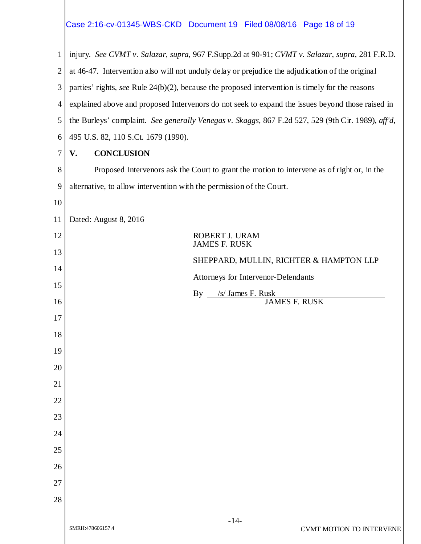#### Case 2:16-cv-01345-WBS-CKD Document 19 Filed 08/08/16 Page 18 of 19

1 2 3 4 5 6 injury. *See CVMT v. Salazar*, *supra*, 967 F.Supp.2d at 90-91; *CVMT v. Salazar*, *supra*, 281 F.R.D. at 46-47. Intervention also will not unduly delay or prejudice the adjudication of the original parties' rights, *see* Rule 24(b)(2), because the proposed intervention is timely for the reasons explained above and proposed Intervenors do not seek to expand the issues beyond those raised in the Burleys' complaint. *See generally Venegas v. Skaggs*, 867 F.2d 527, 529 (9th Cir. 1989), *aff'd,*  495 U.S. 82, 110 S.Ct. 1679 (1990).

7 **V. CONCLUSION** 

8 9 Proposed Intervenors ask the Court to grant the motion to intervene as of right or, in the alternative, to allow intervention with the permission of the Court.

10

11 Dated: August 8, 2016

| 12 |                  | ROBERT J. URAM<br><b>JAMES F. RUSK</b>       |
|----|------------------|----------------------------------------------|
| 13 |                  | SHEPPARD, MULLIN, RICHTER & HAMPTON LLP      |
| 14 |                  | Attorneys for Intervenor-Defendants          |
| 15 |                  |                                              |
| 16 |                  | By /s/ James F. Rusk<br><b>JAMES F. RUSK</b> |
| 17 |                  |                                              |
| 18 |                  |                                              |
| 19 |                  |                                              |
| 20 |                  |                                              |
| 21 |                  |                                              |
| 22 |                  |                                              |
| 23 |                  |                                              |
| 24 |                  |                                              |
| 25 |                  |                                              |
| 26 |                  |                                              |
| 27 |                  |                                              |
| 28 |                  |                                              |
|    |                  | $-14-$                                       |
|    | SMRH:478606157.4 | <b>CVMT MOTION TO INTERVENE</b>              |
|    |                  |                                              |